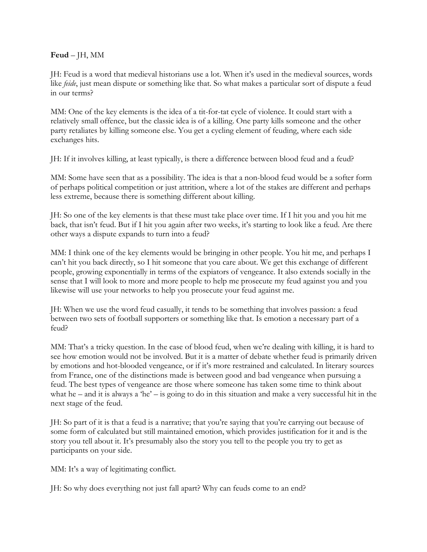## **Feud** – JH, MM

JH: Feud is a word that medieval historians use a lot. When it's used in the medieval sources, words like *feide*, just mean dispute or something like that. So what makes a particular sort of dispute a feud in our terms?

MM: One of the key elements is the idea of a tit-for-tat cycle of violence. It could start with a relatively small offence, but the classic idea is of a killing. One party kills someone and the other party retaliates by killing someone else. You get a cycling element of feuding, where each side exchanges hits.

JH: If it involves killing, at least typically, is there a difference between blood feud and a feud?

MM: Some have seen that as a possibility. The idea is that a non-blood feud would be a softer form of perhaps political competition or just attrition, where a lot of the stakes are different and perhaps less extreme, because there is something different about killing.

JH: So one of the key elements is that these must take place over time. If I hit you and you hit me back, that isn't feud. But if I hit you again after two weeks, it's starting to look like a feud. Are there other ways a dispute expands to turn into a feud?

MM: I think one of the key elements would be bringing in other people. You hit me, and perhaps I can't hit you back directly, so I hit someone that you care about. We get this exchange of different people, growing exponentially in terms of the expiators of vengeance. It also extends socially in the sense that I will look to more and more people to help me prosecute my feud against you and you likewise will use your networks to help you prosecute your feud against me.

JH: When we use the word feud casually, it tends to be something that involves passion: a feud between two sets of football supporters or something like that. Is emotion a necessary part of a feud?

MM: That's a tricky question. In the case of blood feud, when we're dealing with killing, it is hard to see how emotion would not be involved. But it is a matter of debate whether feud is primarily driven by emotions and hot-blooded vengeance, or if it's more restrained and calculated. In literary sources from France, one of the distinctions made is between good and bad vengeance when pursuing a feud. The best types of vengeance are those where someone has taken some time to think about what he – and it is always a 'he' – is going to do in this situation and make a very successful hit in the next stage of the feud.

JH: So part of it is that a feud is a narrative; that you're saying that you're carrying out because of some form of calculated but still maintained emotion, which provides justification for it and is the story you tell about it. It's presumably also the story you tell to the people you try to get as participants on your side.

MM: It's a way of legitimating conflict.

JH: So why does everything not just fall apart? Why can feuds come to an end?